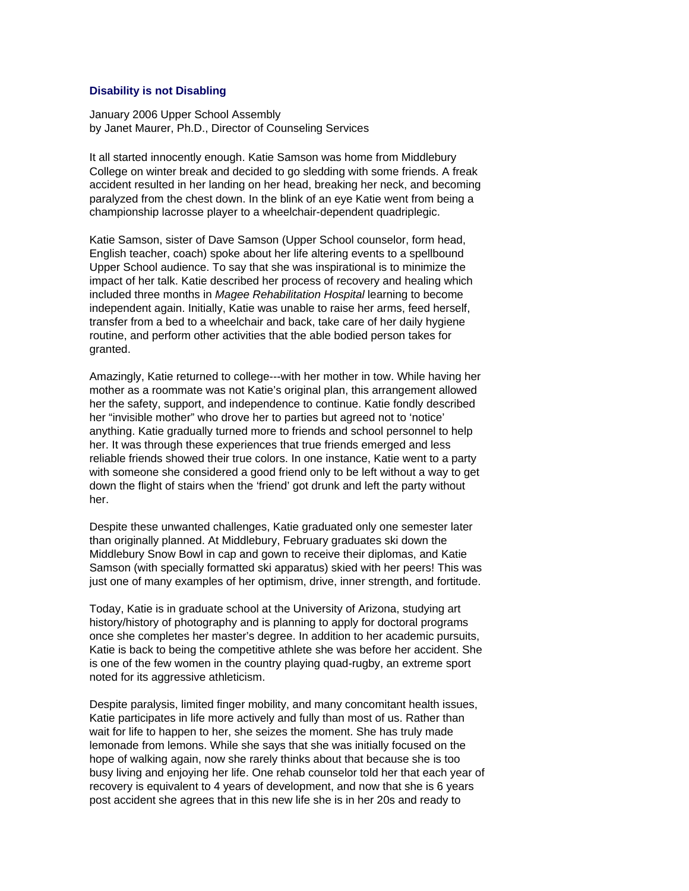## **Disability is not Disabling**

January 2006 Upper School Assembly by Janet Maurer, Ph.D., Director of Counseling Services

It all started innocently enough. Katie Samson was home from Middlebury College on winter break and decided to go sledding with some friends. A freak accident resulted in her landing on her head, breaking her neck, and becoming paralyzed from the chest down. In the blink of an eye Katie went from being a championship lacrosse player to a wheelchair-dependent quadriplegic.

Katie Samson, sister of Dave Samson (Upper School counselor, form head, English teacher, coach) spoke about her life altering events to a spellbound Upper School audience. To say that she was inspirational is to minimize the impact of her talk. Katie described her process of recovery and healing which included three months in *Magee Rehabilitation Hospital* learning to become independent again. Initially, Katie was unable to raise her arms, feed herself, transfer from a bed to a wheelchair and back, take care of her daily hygiene routine, and perform other activities that the able bodied person takes for granted.

Amazingly, Katie returned to college---with her mother in tow. While having her mother as a roommate was not Katie's original plan, this arrangement allowed her the safety, support, and independence to continue. Katie fondly described her "invisible mother" who drove her to parties but agreed not to 'notice' anything. Katie gradually turned more to friends and school personnel to help her. It was through these experiences that true friends emerged and less reliable friends showed their true colors. In one instance, Katie went to a party with someone she considered a good friend only to be left without a way to get down the flight of stairs when the 'friend' got drunk and left the party without her.

Despite these unwanted challenges, Katie graduated only one semester later than originally planned. At Middlebury, February graduates ski down the Middlebury Snow Bowl in cap and gown to receive their diplomas, and Katie Samson (with specially formatted ski apparatus) skied with her peers! This was just one of many examples of her optimism, drive, inner strength, and fortitude.

Today, Katie is in graduate school at the University of Arizona, studying art history/history of photography and is planning to apply for doctoral programs once she completes her master's degree. In addition to her academic pursuits, Katie is back to being the competitive athlete she was before her accident. She is one of the few women in the country playing quad-rugby, an extreme sport noted for its aggressive athleticism.

Despite paralysis, limited finger mobility, and many concomitant health issues, Katie participates in life more actively and fully than most of us. Rather than wait for life to happen to her, she seizes the moment. She has truly made lemonade from lemons. While she says that she was initially focused on the hope of walking again, now she rarely thinks about that because she is too busy living and enjoying her life. One rehab counselor told her that each year of recovery is equivalent to 4 years of development, and now that she is 6 years post accident she agrees that in this new life she is in her 20s and ready to